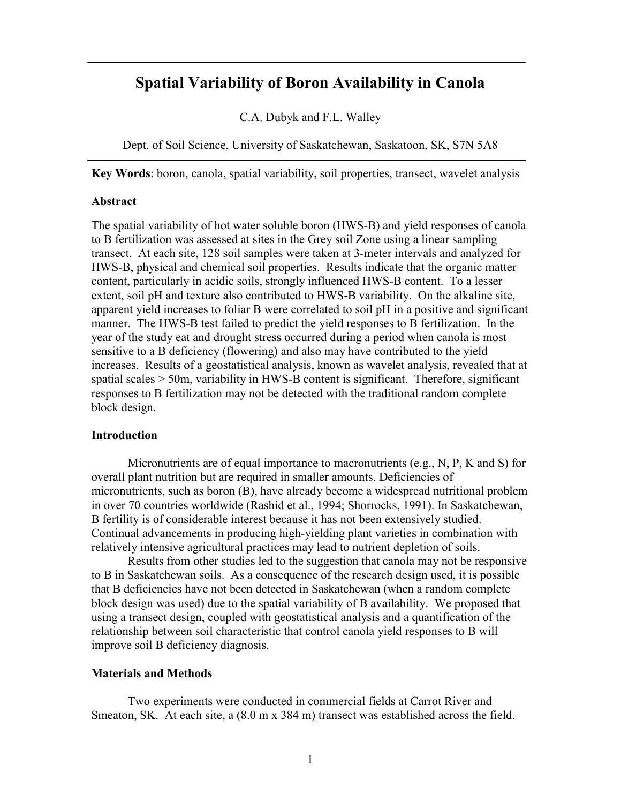# **Spatial Variability of Boron Availability in Canola**

C.A. Dubyk and F.L. Walley

Dept. of Soil Science, University of Saskatchewan, Saskatoon, SK, S7N 5A8

**Key Words**: boron, canola, spatial variability, soil properties, transect, wavelet analysis

#### **Abstract**

The spatial variability of hot water soluble boron (HWS-B) and yield responses of canola to B fertilization was assessed at sites in the Grey soil Zone using a linear sampling transect. At each site, 128 soil samples were taken at 3-meter intervals and analyzed for HWS-B, physical and chemical soil properties. Results indicate that the organic matter content, particularly in acidic soils, strongly influenced HWS-B content. To a lesser extent, soil pH and texture also contributed to HWS-B variability. On the alkaline site, apparent yield increases to foliar B were correlated to soil pH in a positive and significant manner. The HWS-B test failed to predict the yield responses to B fertilization. In the year of the study eat and drought stress occurred during a period when canola is most sensitive to a B deficiency (flowering) and also may have contributed to the yield increases. Results of a geostatistical analysis, known as wavelet analysis, revealed that at spatial scales > 50m, variability in HWS-B content is significant. Therefore, significant responses to B fertilization may not be detected with the traditional random complete block design.

## **Introduction**

Micronutrients are of equal importance to macronutrients (e.g., N, P, K and S) for overall plant nutrition but are required in smaller amounts. Deficiencies of micronutrients, such as boron (B), have already become a widespread nutritional problem in over 70 countries worldwide (Rashid et al., 1994; Shorrocks, 1991). In Saskatchewan, B fertility is of considerable interest because it has not been extensively studied. Continual advancements in producing high-yielding plant varieties in combination with relatively intensive agricultural practices may lead to nutrient depletion of soils.

Results from other studies led to the suggestion that canola may not be responsive to B in Saskatchewan soils. As a consequence of the research design used, it is possible that B deficiencies have not been detected in Saskatchewan (when a random complete block design was used) due to the spatial variability of B availability. We proposed that using a transect design, coupled with geostatistical analysis and a quantification of the relationship between soil characteristic that control canola yield responses to B will improve soil B deficiency diagnosis.

## **Materials and Methods**

Two experiments were conducted in commercial fields at Carrot River and Smeaton, SK. At each site, a (8.0 m x 384 m) transect was established across the field.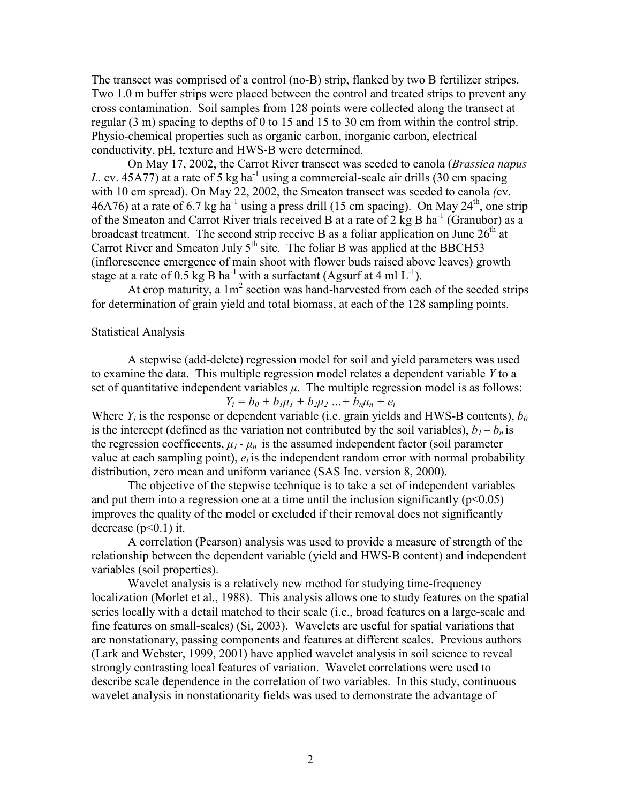The transect was comprised of a control (no-B) strip, flanked by two B fertilizer stripes. Two 1.0 m buffer strips were placed between the control and treated strips to prevent any cross contamination. Soil samples from 128 points were collected along the transect at regular (3 m) spacing to depths of 0 to 15 and 15 to 30 cm from within the control strip. Physio-chemical properties such as organic carbon, inorganic carbon, electrical conductivity, pH, texture and HWS-B were determined.

On May 17, 2002, the Carrot River transect was seeded to canola (*Brassica napus L.* cv. 45A77) at a rate of 5 kg ha<sup>-1</sup> using a commercial-scale air drills (30 cm spacing with 10 cm spread). On May 22, 2002, the Smeaton transect was seeded to canola *(*cv. 46A76) at a rate of 6.7 kg ha<sup>-1</sup> using a press drill (15 cm spacing). On May  $24<sup>th</sup>$ , one strip of the Smeaton and Carrot River trials received B at a rate of 2 kg B ha<sup>-1</sup> (Granubor) as a broadcast treatment. The second strip receive B as a foliar application on June  $26<sup>th</sup>$  at Carrot River and Smeaton July  $5<sup>th</sup>$  site. The foliar B was applied at the BBCH53 (inflorescence emergence of main shoot with flower buds raised above leaves) growth stage at a rate of 0.5 kg B ha<sup>-1</sup> with a surfactant (Agsurf at 4 ml  $L^{-1}$ ).

At crop maturity, a  $1m^2$  section was hand-harvested from each of the seeded strips for determination of grain yield and total biomass, at each of the 128 sampling points.

## Statistical Analysis

A stepwise (add-delete) regression model for soil and yield parameters was used to examine the data. This multiple regression model relates a dependent variable *Y* to a set of quantitative independent variables  $\mu$ . The multiple regression model is as follows:  $Y_i = b_0 + b_1 \mu_1 + b_2 \mu_2 ... + b_n \mu_n + e_i$ 

Where  $Y_i$  is the response or dependent variable (i.e. grain yields and HWS-B contents),  $b_0$ is the intercept (defined as the variation not contributed by the soil variables),  $b_1 - b_n$  is the regression coeffiecents,  $\mu_1$  -  $\mu_n$  is the assumed independent factor (soil parameter value at each sampling point),  $e_i$  is the independent random error with normal probability distribution, zero mean and uniform variance (SAS Inc. version 8, 2000).

 The objective of the stepwise technique is to take a set of independent variables and put them into a regression one at a time until the inclusion significantly  $(p<0.05)$ improves the quality of the model or excluded if their removal does not significantly decrease  $(p<0.1)$  it.

 A correlation (Pearson) analysis was used to provide a measure of strength of the relationship between the dependent variable (yield and HWS-B content) and independent variables (soil properties).

 Wavelet analysis is a relatively new method for studying time-frequency localization (Morlet et al., 1988). This analysis allows one to study features on the spatial series locally with a detail matched to their scale (i.e., broad features on a large-scale and fine features on small-scales) (Si, 2003). Wavelets are useful for spatial variations that are nonstationary, passing components and features at different scales. Previous authors (Lark and Webster, 1999, 2001) have applied wavelet analysis in soil science to reveal strongly contrasting local features of variation. Wavelet correlations were used to describe scale dependence in the correlation of two variables. In this study, continuous wavelet analysis in nonstationarity fields was used to demonstrate the advantage of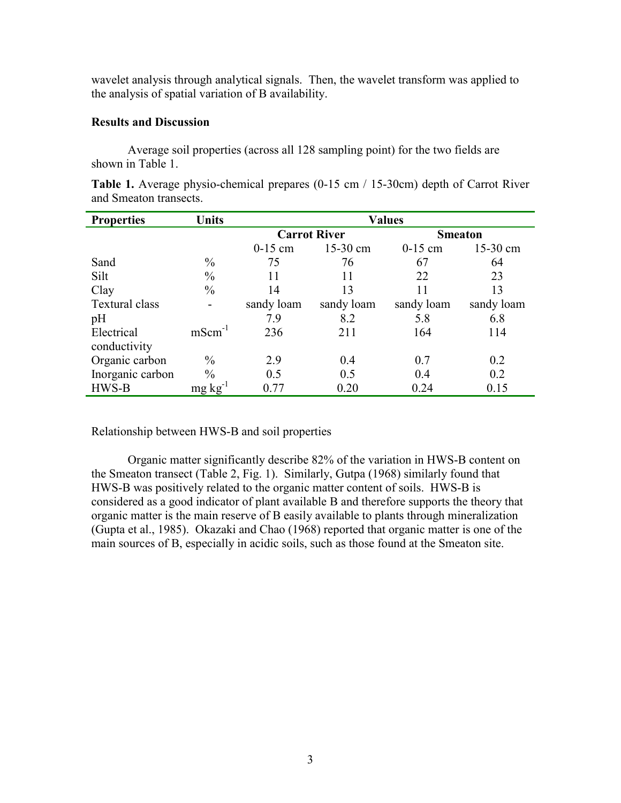wavelet analysis through analytical signals. Then, the wavelet transform was applied to the analysis of spatial variation of B availability.

## **Results and Discussion**

Average soil properties (across all 128 sampling point) for the two fields are shown in Table 1.

| <b>Properties</b> | <b>Units</b>             | <b>Values</b>       |            |                |            |  |
|-------------------|--------------------------|---------------------|------------|----------------|------------|--|
|                   |                          | <b>Carrot River</b> |            | <b>Smeaton</b> |            |  |
|                   |                          | $0-15$ cm           | 15-30 cm   | $0-15$ cm      | 15-30 cm   |  |
| Sand              | $\frac{0}{0}$            | 75                  | 76         | 67             | 64         |  |
| Silt              | $\frac{0}{0}$            | 11                  | 11         | 22             | 23         |  |
| Clay              | $\frac{0}{0}$            | 14                  | 13         | 11             | 13         |  |
| Textural class    | $\overline{\phantom{0}}$ | sandy loam          | sandy loam | sandy loam     | sandy loam |  |
| pH                |                          | 7.9                 | 8.2        | 5.8            | 6.8        |  |
| Electrical        | $mScm^{-1}$              | 236                 | 211        | 164            | 114        |  |
| conductivity      |                          |                     |            |                |            |  |
| Organic carbon    | $\frac{0}{0}$            | 2.9                 | 0.4        | 0.7            | 0.2        |  |
| Inorganic carbon  | $\frac{0}{0}$            | 0.5                 | 0.5        | 0.4            | 0.2        |  |
| HWS-B             | $mg \, kg^{-1}$          | 0.77                | 0.20       | 0.24           | 0.15       |  |

**Table 1.** Average physio-chemical prepares (0-15 cm / 15-30cm) depth of Carrot River and Smeaton transects.

Relationship between HWS-B and soil properties

Organic matter significantly describe 82% of the variation in HWS-B content on the Smeaton transect (Table 2, Fig. 1). Similarly, Gutpa (1968) similarly found that HWS-B was positively related to the organic matter content of soils. HWS-B is considered as a good indicator of plant available B and therefore supports the theory that organic matter is the main reserve of B easily available to plants through mineralization (Gupta et al., 1985). Okazaki and Chao (1968) reported that organic matter is one of the main sources of B, especially in acidic soils, such as those found at the Smeaton site.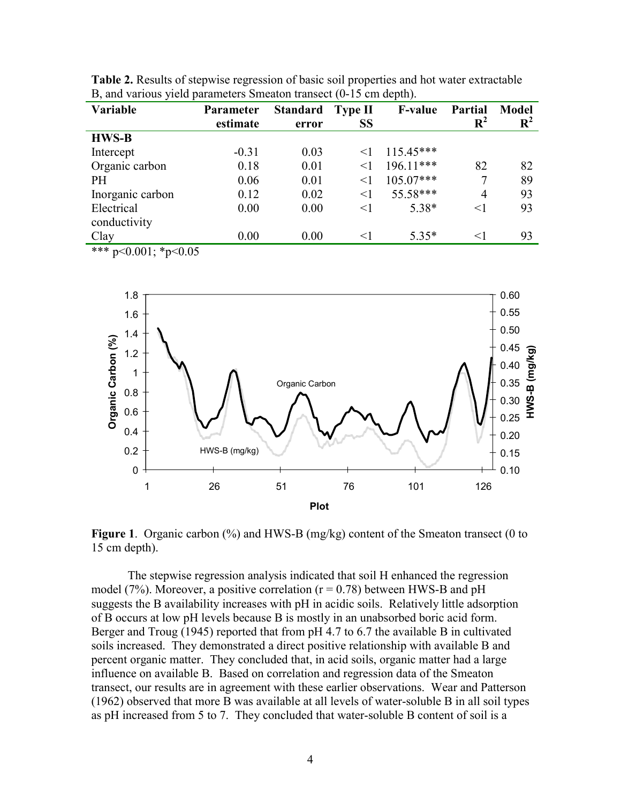| Variable         | <b>Parameter</b> | <b>Standard</b> | Type II   | <b>F-value</b> | <b>Partial</b> | <b>Model</b>   |
|------------------|------------------|-----------------|-----------|----------------|----------------|----------------|
|                  | estimate         | error           | <b>SS</b> |                | $R^2$          | $\mathbf{R}^2$ |
| <b>HWS-B</b>     |                  |                 |           |                |                |                |
| Intercept        | $-0.31$          | 0.03            | $\leq$ 1  | $115.45***$    |                |                |
| Organic carbon   | 0.18             | 0.01            | $\leq$ 1  | $196.11***$    | 82             | 82             |
| <b>PH</b>        | 0.06             | 0.01            | $\leq$ 1  | $105.07***$    |                | 89             |
| Inorganic carbon | 0.12             | 0.02            | $<$ 1     | 55.58***       | 4              | 93             |
| Electrical       | 0.00             | 0.00            | $<$ 1     | 5.38*          | $<$ 1          | 93             |
| conductivity     |                  |                 |           |                |                |                |
| Clay             | 0.00             | 0.00            | $\leq$ 1  | $5.35*$        | $<$ 1          | 93             |
| أماله ماله ماله  |                  |                 |           |                |                |                |

**Table 2.** Results of stepwise regression of basic soil properties and hot water extractable B, and various yield parameters Smeaton transect (0-15 cm depth).

 $*$  p<0.001;  $*$ p<0.05



**Figure 1**. Organic carbon (%) and HWS-B (mg/kg) content of the Smeaton transect (0 to 15 cm depth).

The stepwise regression analysis indicated that soil H enhanced the regression model (7%). Moreover, a positive correlation ( $r = 0.78$ ) between HWS-B and pH suggests the B availability increases with pH in acidic soils. Relatively little adsorption of B occurs at low pH levels because B is mostly in an unabsorbed boric acid form. Berger and Troug (1945) reported that from pH 4.7 to 6.7 the available B in cultivated soils increased. They demonstrated a direct positive relationship with available B and percent organic matter. They concluded that, in acid soils, organic matter had a large influence on available B. Based on correlation and regression data of the Smeaton transect, our results are in agreement with these earlier observations. Wear and Patterson (1962) observed that more B was available at all levels of water-soluble B in all soil types as pH increased from 5 to 7. They concluded that water-soluble B content of soil is a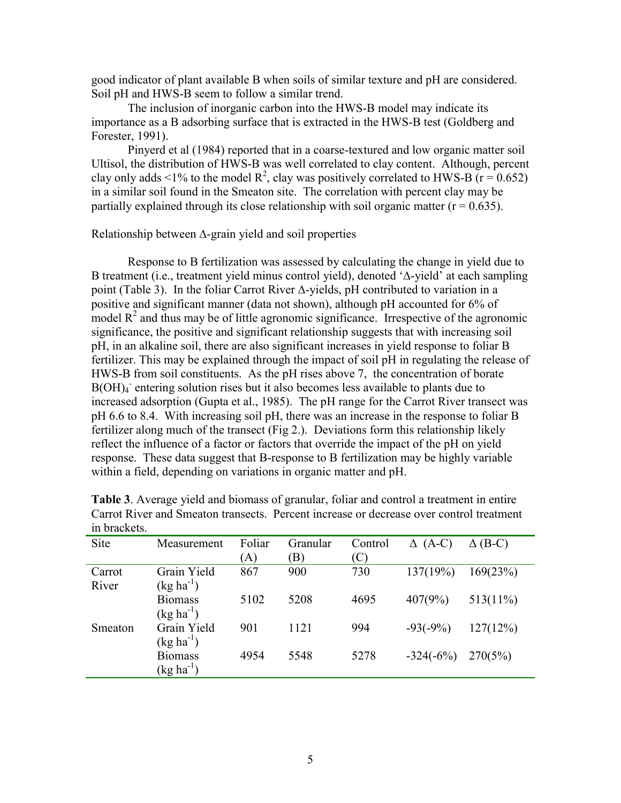good indicator of plant available B when soils of similar texture and pH are considered. Soil pH and HWS-B seem to follow a similar trend.

The inclusion of inorganic carbon into the HWS-B model may indicate its importance as a B adsorbing surface that is extracted in the HWS-B test (Goldberg and Forester, 1991).

Pinyerd et al (1984) reported that in a coarse-textured and low organic matter soil Ultisol, the distribution of HWS-B was well correlated to clay content. Although, percent clay only adds <1% to the model  $R^2$ , clay was positively correlated to HWS-B (r = 0.652) in a similar soil found in the Smeaton site. The correlation with percent clay may be partially explained through its close relationship with soil organic matter  $(r = 0.635)$ .

Relationship between ∆-grain yield and soil properties

 Response to B fertilization was assessed by calculating the change in yield due to B treatment (i.e., treatment yield minus control yield), denoted '∆-yield' at each sampling point (Table 3). In the foliar Carrot River ∆-yields, pH contributed to variation in a positive and significant manner (data not shown), although pH accounted for 6% of model  $R<sup>2</sup>$  and thus may be of little agronomic significance. Irrespective of the agronomic significance, the positive and significant relationship suggests that with increasing soil pH, in an alkaline soil, there are also significant increases in yield response to foliar B fertilizer. This may be explained through the impact of soil pH in regulating the release of HWS-B from soil constituents. As the pH rises above 7, the concentration of borate B(OH)<sub>4</sub> entering solution rises but it also becomes less available to plants due to increased adsorption (Gupta et al., 1985). The pH range for the Carrot River transect was pH 6.6 to 8.4. With increasing soil pH, there was an increase in the response to foliar B fertilizer along much of the transect (Fig 2.). Deviations form this relationship likely reflect the influence of a factor or factors that override the impact of the pH on yield response. These data suggest that B-response to B fertilization may be highly variable within a field, depending on variations in organic matter and pH.

| III UIUVIIVW. |                       |        |          |         |             |                |
|---------------|-----------------------|--------|----------|---------|-------------|----------------|
| Site          | Measurement           | Foliar | Granular | Control | $(A-C)$     | $\Delta$ (B-C) |
|               |                       | (A)    | B)       | (C)     |             |                |
| Carrot        | Grain Yield           | 867    | 900      | 730     | 137(19%)    | 169(23%)       |
| River         | $(kg ha^{-1})$        |        |          |         |             |                |
|               | <b>Biomass</b>        | 5102   | 5208     | 4695    | 407(9%)     | $513(11\%)$    |
|               | $(kg ha^{-1})$        |        |          |         |             |                |
| Smeaton       | Grain Yield           | 901    | 1121     | 994     | $-93(-9%)$  | 127(12%)       |
|               | $(kg ha^{-1})$        |        |          |         |             |                |
|               | <b>Biomass</b>        | 4954   | 5548     | 5278    | $-324(-6%)$ | 270(5%)        |
|               | $(\text{kg ha}^{-1})$ |        |          |         |             |                |

**Table 3**. Average yield and biomass of granular, foliar and control a treatment in entire Carrot River and Smeaton transects. Percent increase or decrease over control treatment in brackets.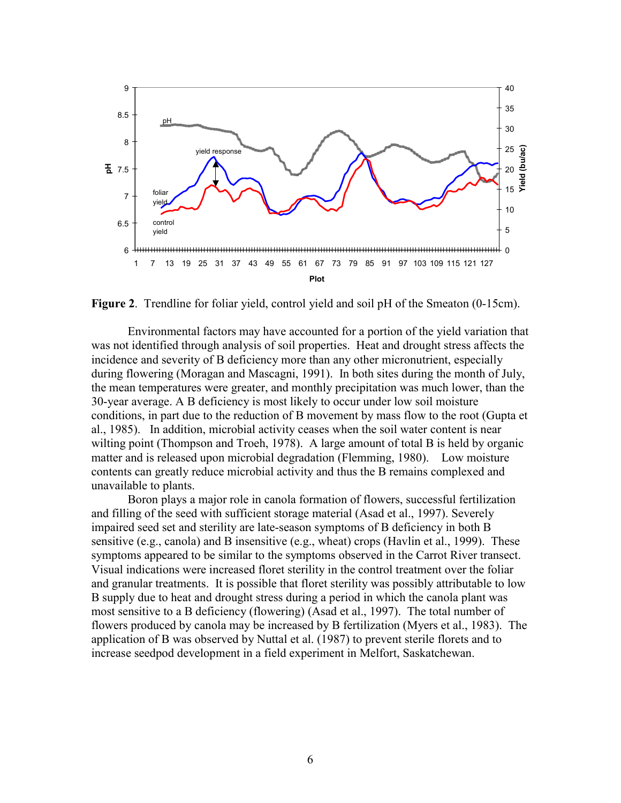![](_page_5_Figure_0.jpeg)

**Figure 2**. Trendline for foliar yield, control yield and soil pH of the Smeaton (0-15cm).

Environmental factors may have accounted for a portion of the yield variation that was not identified through analysis of soil properties. Heat and drought stress affects the incidence and severity of B deficiency more than any other micronutrient, especially during flowering (Moragan and Mascagni, 1991). In both sites during the month of July, the mean temperatures were greater, and monthly precipitation was much lower, than the 30-year average. A B deficiency is most likely to occur under low soil moisture conditions, in part due to the reduction of B movement by mass flow to the root (Gupta et al., 1985). In addition, microbial activity ceases when the soil water content is near wilting point (Thompson and Troeh, 1978). A large amount of total B is held by organic matter and is released upon microbial degradation (Flemming, 1980). Low moisture contents can greatly reduce microbial activity and thus the B remains complexed and unavailable to plants.

Boron plays a major role in canola formation of flowers, successful fertilization and filling of the seed with sufficient storage material (Asad et al., 1997). Severely impaired seed set and sterility are late-season symptoms of B deficiency in both B sensitive (e.g., canola) and B insensitive (e.g., wheat) crops (Havlin et al., 1999). These symptoms appeared to be similar to the symptoms observed in the Carrot River transect. Visual indications were increased floret sterility in the control treatment over the foliar and granular treatments. It is possible that floret sterility was possibly attributable to low B supply due to heat and drought stress during a period in which the canola plant was most sensitive to a B deficiency (flowering) (Asad et al., 1997). The total number of flowers produced by canola may be increased by B fertilization (Myers et al., 1983). The application of B was observed by Nuttal et al. (1987) to prevent sterile florets and to increase seedpod development in a field experiment in Melfort, Saskatchewan.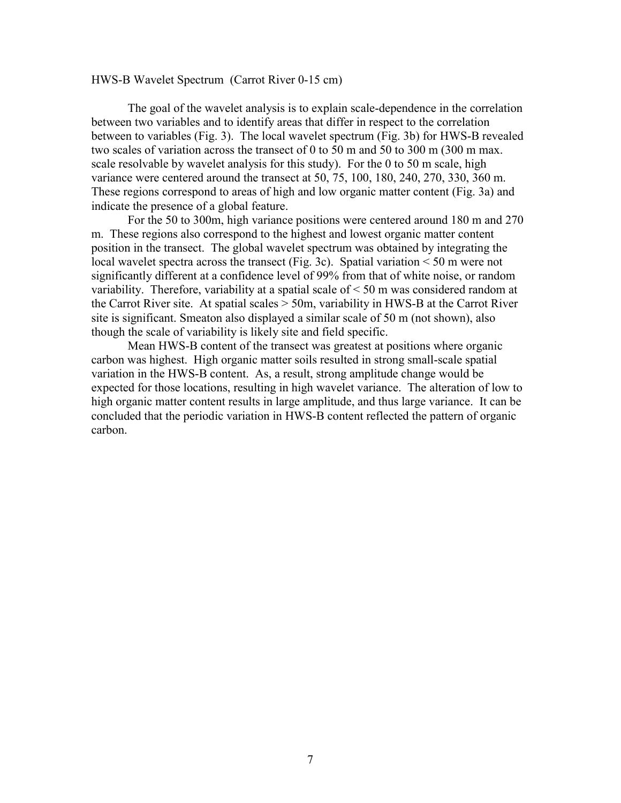## HWS-B Wavelet Spectrum (Carrot River 0-15 cm)

 The goal of the wavelet analysis is to explain scale-dependence in the correlation between two variables and to identify areas that differ in respect to the correlation between to variables (Fig. 3). The local wavelet spectrum (Fig. 3b) for HWS-B revealed two scales of variation across the transect of 0 to 50 m and 50 to 300 m (300 m max. scale resolvable by wavelet analysis for this study). For the 0 to 50 m scale, high variance were centered around the transect at 50, 75, 100, 180, 240, 270, 330, 360 m. These regions correspond to areas of high and low organic matter content (Fig. 3a) and indicate the presence of a global feature.

For the 50 to 300m, high variance positions were centered around 180 m and 270 m. These regions also correspond to the highest and lowest organic matter content position in the transect. The global wavelet spectrum was obtained by integrating the local wavelet spectra across the transect (Fig. 3c). Spatial variation < 50 m were not significantly different at a confidence level of 99% from that of white noise, or random variability. Therefore, variability at a spatial scale of < 50 m was considered random at the Carrot River site. At spatial scales > 50m, variability in HWS-B at the Carrot River site is significant. Smeaton also displayed a similar scale of 50 m (not shown), also though the scale of variability is likely site and field specific.

 Mean HWS-B content of the transect was greatest at positions where organic carbon was highest. High organic matter soils resulted in strong small-scale spatial variation in the HWS-B content. As, a result, strong amplitude change would be expected for those locations, resulting in high wavelet variance. The alteration of low to high organic matter content results in large amplitude, and thus large variance. It can be concluded that the periodic variation in HWS-B content reflected the pattern of organic carbon.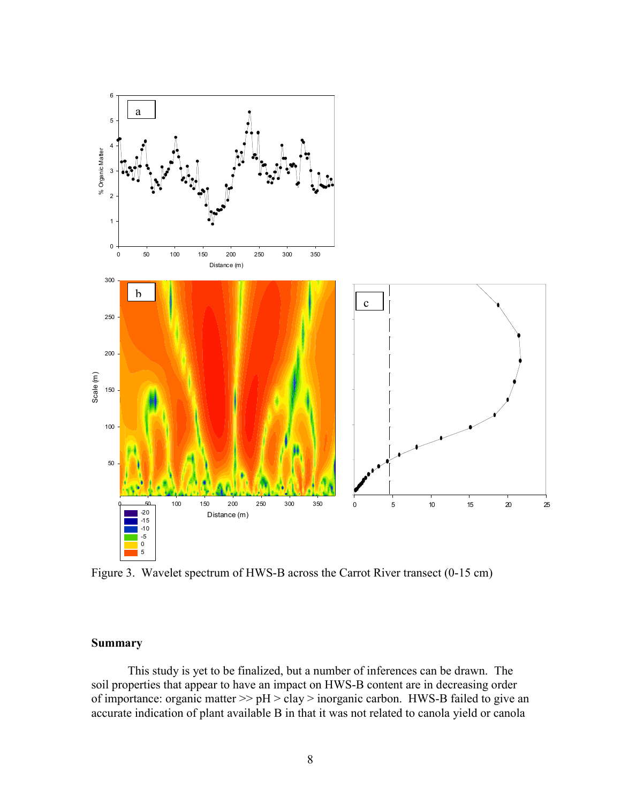![](_page_7_Figure_0.jpeg)

Figure 3. Wavelet spectrum of HWS-B across the Carrot River transect (0-15 cm)

## **Summary**

 This study is yet to be finalized, but a number of inferences can be drawn. The soil properties that appear to have an impact on HWS-B content are in decreasing order of importance: organic matter  $\gg$  pH  $>$  clay  $>$  inorganic carbon. HWS-B failed to give an accurate indication of plant available B in that it was not related to canola yield or canola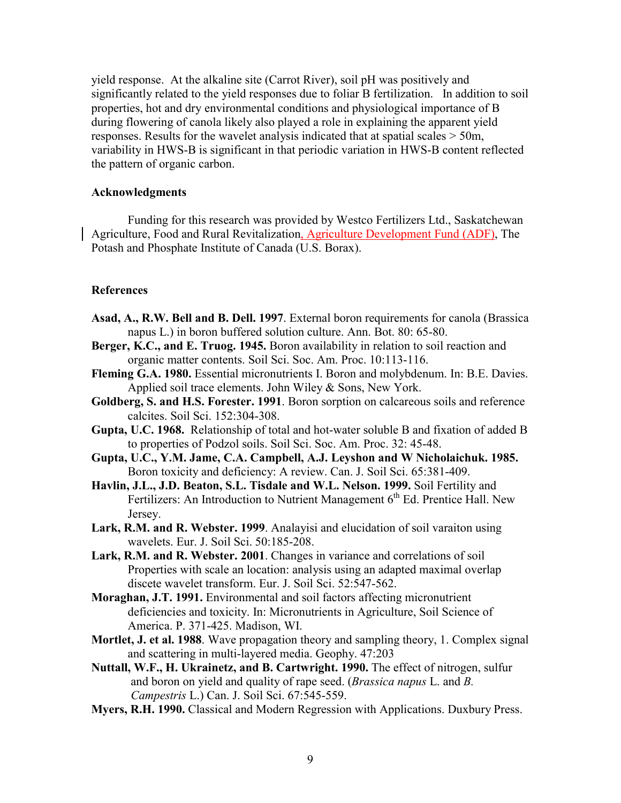yield response. At the alkaline site (Carrot River), soil pH was positively and significantly related to the yield responses due to foliar B fertilization. In addition to soil properties, hot and dry environmental conditions and physiological importance of B during flowering of canola likely also played a role in explaining the apparent yield responses. Results for the wavelet analysis indicated that at spatial scales > 50m, variability in HWS-B is significant in that periodic variation in HWS-B content reflected the pattern of organic carbon.

## **Acknowledgments**

Funding for this research was provided by Westco Fertilizers Ltd., Saskatchewan Agriculture, Food and Rural Revitalization, Agriculture Development Fund (ADF), The Potash and Phosphate Institute of Canada (U.S. Borax).

## **References**

- **Asad, A., R.W. Bell and B. Dell. 1997**. External boron requirements for canola (Brassica napus L.) in boron buffered solution culture. Ann. Bot. 80: 65-80.
- **Berger, K.C., and E. Truog. 1945.** Boron availability in relation to soil reaction and organic matter contents. Soil Sci. Soc. Am. Proc. 10:113-116.
- **Fleming G.A. 1980.** Essential micronutrients I. Boron and molybdenum. In: B.E. Davies. Applied soil trace elements. John Wiley & Sons, New York.
- **Goldberg, S. and H.S. Forester. 1991**. Boron sorption on calcareous soils and reference calcites. Soil Sci. 152:304-308.
- **Gupta, U.C. 1968.** Relationship of total and hot-water soluble B and fixation of added B to properties of Podzol soils. Soil Sci. Soc. Am. Proc. 32: 45-48.
- **Gupta, U.C., Y.M. Jame, C.A. Campbell, A.J. Leyshon and W Nicholaichuk. 1985.**  Boron toxicity and deficiency: A review. Can. J. Soil Sci. 65:381-409.
- **Havlin, J.L., J.D. Beaton, S.L. Tisdale and W.L. Nelson. 1999.** Soil Fertility and Fertilizers: An Introduction to Nutrient Management  $6<sup>th</sup>$  Ed. Prentice Hall. New Jersey.
- **Lark, R.M. and R. Webster. 1999**. Analayisi and elucidation of soil varaiton using wavelets. Eur. J. Soil Sci. 50:185-208.
- **Lark, R.M. and R. Webster. 2001**. Changes in variance and correlations of soil Properties with scale an location: analysis using an adapted maximal overlap discete wavelet transform. Eur. J. Soil Sci. 52:547-562.
- **Moraghan, J.T. 1991.** Environmental and soil factors affecting micronutrient deficiencies and toxicity. In: Micronutrients in Agriculture, Soil Science of America. P. 371-425. Madison, WI.
- **Mortlet, J. et al. 1988**. Wave propagation theory and sampling theory, 1. Complex signal and scattering in multi-layered media. Geophy. 47:203
- **Nuttall, W.F., H. Ukrainetz, and B. Cartwright. 1990.** The effect of nitrogen, sulfur and boron on yield and quality of rape seed. (*Brassica napus* L. and *B. Campestris* L.) Can. J. Soil Sci. 67:545-559.
- **Myers, R.H. 1990.** Classical and Modern Regression with Applications. Duxbury Press.